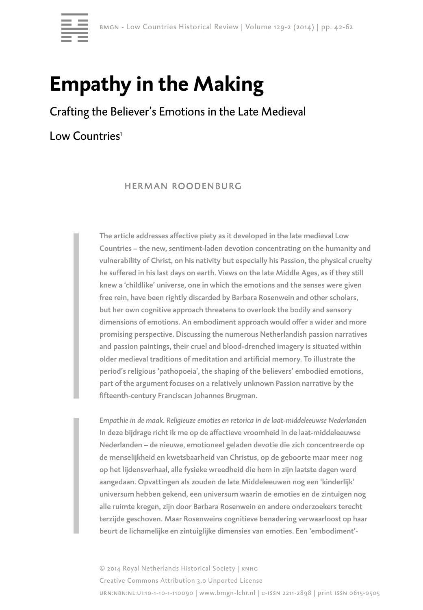

# **Empathy in the Making**

# Crafting the Believer's Emotions in the Late Medieval

Low Countries<sup>1</sup>

 herman roodenburg

The article addresses affective piety as it developed in the late medieval Low Countries – the new, sentiment-laden devotion concentrating on the humanity and vulnerability of Christ, on his nativity but especially his Passion, the physical cruelty he suffered in his last days on earth. Views on the late Middle Ages, as if they still knew a 'childlike' universe, one in which the emotions and the senses were given free rein, have been rightly discarded by Barbara Rosenwein and other scholars, but her own cognitive approach threatens to overlook the bodily and sensory dimensions of emotions. An embodiment approach would offer a wider and more promising perspective. Discussing the numerous Netherlandish passion narratives and passion paintings, their cruel and blood-drenched imagery is situated within older medieval traditions of meditation and artificial memory. To illustrate the period's religious 'pathopoeia', the shaping of the believers' embodied emotions, part of the argument focuses on a relatively unknown Passion narrative by the fifteenth-century Franciscan Johannes Brugman.

*Empathie in de maak. Religieuze emoties en retorica in de laat-middeleeuwse Nederlanden* In deze bijdrage richt ik me op de affectieve vroomheid in de laat-middeleeuwse Nederlanden – de nieuwe, emotioneel geladen devotie die zich concentreerde op de menselijkheid en kwetsbaarheid van Christus, op de geboorte maar meer nog op het lijdensverhaal, alle fysieke wreedheid die hem in zijn laatste dagen werd aangedaan. Opvattingen als zouden de late Middeleeuwen nog een 'kinderlijk' universum hebben gekend, een universum waarin de emoties en de zintuigen nog alle ruimte kregen, zijn door Barbara Rosenwein en andere onderzoekers terecht terzijde geschoven. Maar Rosenweins cognitieve benadering verwaarloost op haar beurt de lichamelijke en zintuiglijke dimensies van emoties. Een 'embodiment'-

© 2014 Royal Netherlands Historical Society | knhg Creative Commons Attribution 3.0 Unported License urn:nbn:nl:ui:10-1-10-1-110090 | www.bmgn-lchr.nl | e-issn 2211-2898 | print issn 0615-0505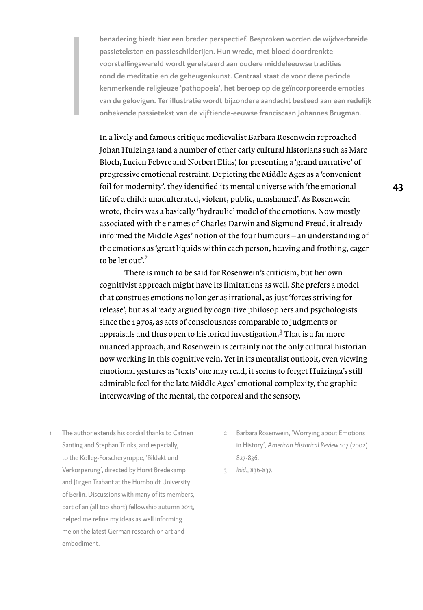benadering biedt hier een breder perspectief. Besproken worden de wijdverbreide passieteksten en passieschilderijen. Hun wrede, met bloed doordrenkte voorstellingswereld wordt gerelateerd aan oudere middeleeuwse tradities rond de meditatie en de geheugenkunst. Centraal staat de voor deze periode kenmerkende religieuze 'pathopoeia', het beroep op de geïncorporeerde emoties van de gelovigen. Ter illustratie wordt bijzondere aandacht besteed aan een redelijk onbekende passietekst van de vijftiende-eeuwse franciscaan Johannes Brugman.

In a lively and famous critique medievalist Barbara Rosenwein reproached Johan Huizinga (and a number of other early cultural historians such as Marc Bloch, Lucien Febvre and Norbert Elias) for presenting a 'grand narrative' of progressive emotional restraint. Depicting the Middle Ages as a 'convenient foil for modernity', they identified its mental universe with 'the emotional life of a child: unadulterated, violent, public, unashamed'. As Rosenwein wrote, theirs was a basically 'hydraulic' model of the emotions. Now mostly associated with the names of Charles Darwin and Sigmund Freud, it already informed the Middle Ages' notion of the four humours – an understanding of the emotions as 'great liquids within each person, heaving and frothing, eager to be let out'. $2$ 

There is much to be said for Rosenwein's criticism, but her own cognitivist approach might have its limitations as well. She prefers a model that construes emotions no longer as irrational, as just 'forces striving for release', but as already argued by cognitive philosophers and psychologists since the 1970s, as acts of consciousness comparable to judgments or appraisals and thus open to historical investigation. $\rm{^3}$  That is a far more nuanced approach, and Rosenwein is certainly not the only cultural historian now working in this cognitive vein. Yet in its mentalist outlook, even viewing emotional gestures as 'texts' one may read, it seems to forget Huizinga's still admirable feel for the late Middle Ages' emotional complexity, the graphic interweaving of the mental, the corporeal and the sensory.

- The author extends his cordial thanks to Catrien Santing and Stephan Trinks, and especially, to the Kolleg-Forschergruppe, 'Bildakt und Verkörperung', directed by Horst Bredekamp and Jürgen Trabant at the Humboldt University of Berlin. Discussions with many of its members, part of an (all too short) fellowship autumn 2013, helped me refine my ideas as well informing me on the latest German research on art and embodiment.
- 2 Barbara Rosenwein, 'Worrying about Emotions in History', *American Historical Review* 107 (2002) 827-836.
- 3 *Ibid*., 836-837.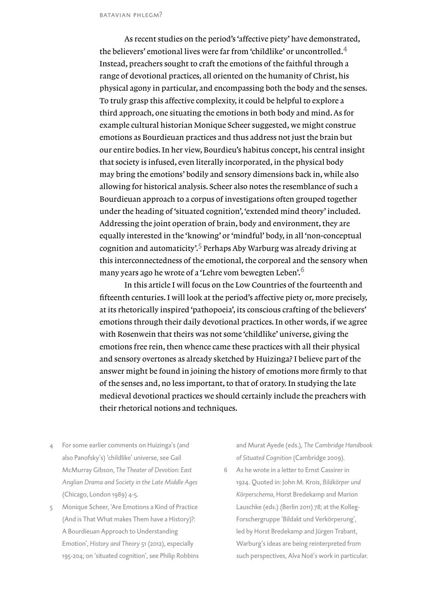As recent studies on the period's 'affective piety' have demonstrated, the believers' emotional lives were far from 'childlike' or uncontrolled.<sup>4</sup> Instead, preachers sought to craft the emotions of the faithful through a range of devotional practices, all oriented on the humanity of Christ, his physical agony in particular, and encompassing both the body and the senses. To truly grasp this affective complexity, it could be helpful to explore a third approach, one situating the emotions in both body and mind. As for example cultural historian Monique Scheer suggested, we might construe emotions as Bourdieuan practices and thus address not just the brain but our entire bodies. In her view, Bourdieu's habitus concept, his central insight that society is infused, even literally incorporated, in the physical body may bring the emotions' bodily and sensory dimensions back in, while also allowing for historical analysis. Scheer also notes the resemblance of such a Bourdieuan approach to a corpus of investigations often grouped together under the heading of 'situated cognition', 'extended mind theory' included. Addressing the joint operation of brain, body and environment, they are equally interested in the 'knowing' or 'mindful' body, in all 'non-conceptual cognition and automaticity'.<sup>5</sup> Perhaps Aby Warburg was already driving at this interconnectedness of the emotional, the corporeal and the sensory when many years ago he wrote of a 'Lehre vom bewegten Leben'.<sup>6</sup>

In this article I will focus on the Low Countries of the fourteenth and fifteenth centuries. I will look at the period's affective piety or, more precisely, at its rhetorically inspired 'pathopoeia', its conscious crafting of the believers' emotions through their daily devotional practices. In other words, if we agree with Rosenwein that theirs was not some 'childlike' universe, giving the emotions free rein, then whence came these practices with all their physical and sensory overtones as already sketched by Huizinga? I believe part of the answer might be found in joining the history of emotions more firmly to that of the senses and, no less important, to that of oratory. In studying the late medieval devotional practices we should certainly include the preachers with their rhetorical notions and techniques.

- 4 For some earlier comments on Huizinga's (and also Panofsky's) 'childlike' universe, see Gail McMurray Gibson, *The Theater of Devotion: East Anglian Drama and Society in the Late Middle Ages* (Chicago, London 1989) 4-5.
- 5 Monique Scheer, 'Are Emotions a Kind of Practice (And is That What makes Them have a History)?: A Bourdieuan Approach to Understanding Emotion', *History and Theory* 51 (2012), especially 195-204; on 'situated cognition', see Philip Robbins

and Murat Ayede (eds.), *The Cambridge Handbook of Situated Cognition* (Cambridge 2009).

6 As he wrote in a letter to Ernst Cassirer in 1924. Quoted in: John M. Krois, *Bildkörper und Körperschema*, Horst Bredekamp and Marion Lauschke (eds.) (Berlin 2011) 78; at the Kolleg-Forschergruppe 'Bildakt und Verkörperung', led by Horst Bredekamp and Jürgen Trabant, Warburg's ideas are being reinterpreted from such perspectives, Alva Noë's work in particular.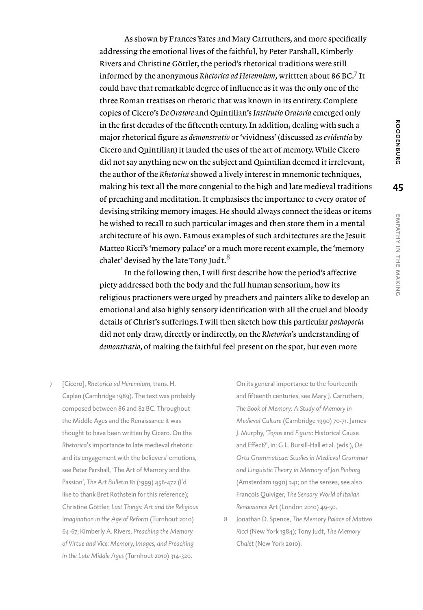As shown by Frances Yates and Mary Carruthers, and more specifically addressing the emotional lives of the faithful, by Peter Parshall, Kimberly Rivers and Christine Göttler, the period's rhetorical traditions were still informed by the anonymous *Rhetorica ad Herennium*, writtten about 86 BC.<sup>7</sup> It could have that remarkable degree of influence as it was the only one of the three Roman treatises on rhetoric that was known in its entirety. Complete copies of Cicero's *De Oratore* and Quintilian's *Institutio Oratoria* emerged only in the first decades of the fifteenth century. In addition, dealing with such a major rhetorical figure as *demonstratio* or 'vividness' (discussed as *evidentia* by Cicero and Quintilian) it lauded the uses of the art of memory. While Cicero did not say anything new on the subject and Quintilian deemed it irrelevant, the author of the *Rhetorica* showed a lively interest in mnemonic techniques, making his text all the more congenial to the high and late medieval traditions of preaching and meditation. It emphasises the importance to every orator of devising striking memory images. He should always connect the ideas or items he wished to recall to such particular images and then store them in a mental architecture of his own. Famous examples of such architectures are the Jesuit Matteo Ricci's 'memory palace' or a much more recent example, the 'memory chalet' devised by the late Tony Judt.<sup>8</sup>

In the following then, I will first describe how the period's affective piety addressed both the body and the full human sensorium, how its religious practioners were urged by preachers and painters alike to develop an emotional and also highly sensory identification with all the cruel and bloody details of Christ's sufferings. I will then sketch how this particular *pathopoeia* did not only draw, directly or indirectly, on the *Rhetorica*'s understanding of *demonstratio*, of making the faithful feel present on the spot, but even more

7 [Cicero], *Rhetorica ad Herennium*, trans. H. Caplan (Cambridge 1989). The text was probably composed between 86 and 82 BC. Throughout the Middle Ages and the Renaissance it was thought to have been written by Cicero. On the *Rhetorica*'s importance to late medieval rhetoric and its engagement with the believers' emotions, see Peter Parshall, 'The Art of Memory and the Passion', *The Art Bulletin* 81 (1999) 456-472 (I'd like to thank Bret Rothstein for this reference); Christine Göttler, *Last Things: Art and the Religious Imagination in the Age of Reform* (Turnhout 2010) 64-67; Kimberly A. Rivers, *Preaching the Memory of Virtue and Vice: Memory, Images, and Preaching in the Late Middle Ages* (Turnhout 2010) 314-320.

On its general importance to the fourteenth and fifteenth centuries, see Mary J. Carruthers, *The Book of Memory: A Study of Memory in Medieval Culture* (Cambridge 1990) 70-71. James J. Murphy, '*Topos* and *Figura*: Historical Cause and Effect?', in: G.L. Bursill-Hall et al. (eds.), *De Ortu Grammaticae: Studies in Medieval Grammar and Linguistic Theory in Memory of Jan Pinborg* (Amsterdam 1990) 241; on the senses, see also François Quiviger, *The Sensory World of Italian Renaissance* Art (London 2010) 49-50.

8 Jonathan D. Spence, *The Memory Palace of Matteo Ricci* (New York 1984); Tony Judt, *The Memory Chalet* (New York 2010).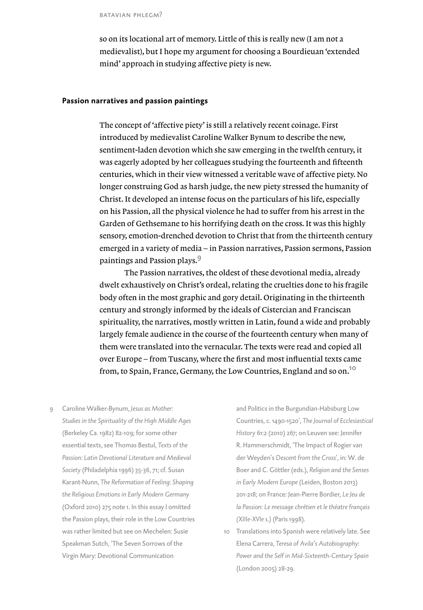batavian phlegm?

so on its locational art of memory. Little of this is really new (I am not a medievalist), but I hope my argument for choosing a Bourdieuan 'extended mind' approach in studying affective piety is new.

#### **Passion narratives and passion paintings**

The concept of 'affective piety' is still a relatively recent coinage. First introduced by medievalist Caroline Walker Bynum to describe the new, sentiment-laden devotion which she saw emerging in the twelfth century, it was eagerly adopted by her colleagues studying the fourteenth and fifteenth centuries, which in their view witnessed a veritable wave of affective piety. No longer construing God as harsh judge, the new piety stressed the humanity of Christ. It developed an intense focus on the particulars of his life, especially on his Passion, all the physical violence he had to suffer from his arrest in the Garden of Gethsemane to his horrifying death on the cross. It was this highly sensory, emotion-drenched devotion to Christ that from the thirteenth century emerged in a variety of media – in Passion narratives, Passion sermons, Passion paintings and Passion plays.<sup>9</sup>

The Passion narratives, the oldest of these devotional media, already dwelt exhaustively on Christ's ordeal, relating the cruelties done to his fragile body often in the most graphic and gory detail. Originating in the thirteenth century and strongly informed by the ideals of Cistercian and Franciscan spirituality, the narratives, mostly written in Latin, found a wide and probably largely female audience in the course of the fourteenth century when many of them were translated into the vernacular. The texts were read and copied all over Europe – from Tuscany, where the first and most influential texts came from, to Spain, France, Germany, the Low Countries, England and so on.<sup>10</sup>

9 Caroline Walker-Bynum, *Jesus as Mother: Studies in the Spirituality of the High Middle Ages* (Berkeley Ca. 1982) 82-109; for some other essential texts, see Thomas Bestul, *Texts of the Passion: Latin Devotional Literature and Medieval Society* (Philadelphia 1996) 35-36, 71; cf. Susan Karant-Nunn, *The Reformation of Feeling: Shaping the Religious Emotions in Early Modern Germany*  (Oxford 2010) 275 note 1. In this essay I omitted the Passion plays, their role in the Low Countries was rather limited but see on Mechelen: Susie Speakman Sutch, 'The Seven Sorrows of the Virgin Mary: Devotional Communication

and Politics in the Burgundian-Habsburg Low Countries, c. 1490-1520', *The Journal of Ecclesiastical History* 61:2 (2010) 267; on Leuven see: Jennifer R. Hammerschmidt, 'The Impact of Rogier van der Weyden's *Descent from the Cross*', in: W. de Boer and C. Göttler (eds.), *Religion and the Senses in Early Modern Europe* (Leiden, Boston 2013) 201-218; on France: Jean-Pierre Bordier, *Le Jeu de la Passion: Le message chrétien et le théatre français (XIIIe-XVIe s.)* (Paris 1998).

10 Translations into Spanish were relatively late. See Elena Carrera, *Teresa of Avila's Autobiography: Power and the Self in Mid-Sixteenth-Century Spain* (London 2005) 28-29.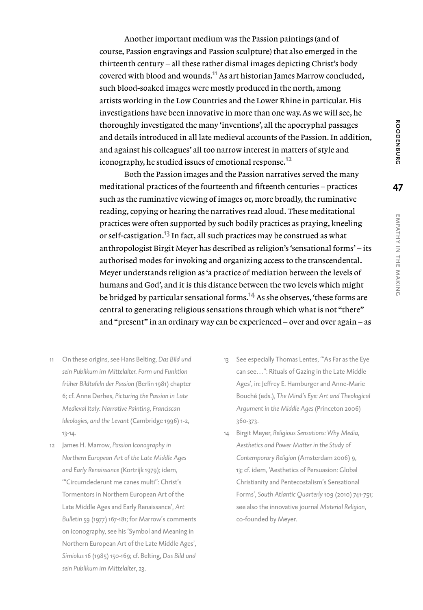Another important medium was the Passion paintings (and of course, Passion engravings and Passion sculpture) that also emerged in the thirteenth century – all these rather dismal images depicting Christ's body covered with blood and wounds.<sup>11</sup> As art historian James Marrow concluded, such blood-soaked images were mostly produced in the north, among artists working in the Low Countries and the Lower Rhine in particular. His investigations have been innovative in more than one way. As we will see, he thoroughly investigated the many 'inventions', all the apocryphal passages and details introduced in all late medieval accounts of the Passion. In addition, and against his colleagues' all too narrow interest in matters of style and iconography, he studied issues of emotional response.<sup>12</sup>

Both the Passion images and the Passion narratives served the many meditational practices of the fourteenth and fifteenth centuries – practices such as the ruminative viewing of images or, more broadly, the ruminative reading, copying or hearing the narratives read aloud. These meditational practices were often supported by such bodily practices as praying, kneeling or self-castigation.13 In fact, all such practices may be construed as what anthropologist Birgit Meyer has described as religion's 'sensational forms' – its authorised modes for invoking and organizing access to the transcendental. Meyer understands religion as 'a practice of mediation between the levels of humans and God', and it is this distance between the two levels which might be bridged by particular sensational forms.<sup>14</sup> As she observes, 'these forms are central to generating religious sensations through which what is not "there" and "present" in an ordinary way can be experienced – over and over again – as

- 11 On these origins, see Hans Belting, *Das Bild und sein Publikum im Mittelalter. Form und Funktion früher Bildtafeln der Passion* (Berlin 1981) chapter 6; cf. Anne Derbes, *Picturing the Passion in Late Medieval Italy: Narrative Painting, Franciscan Ideologies, and the Levant* (Cambridge 1996) 1-2, 13-14.
- 12 James H. Marrow, *Passion Iconography in Northern European Art of the Late Middle Ages and Early Renaissance* (Kortrijk 1979); idem, '"Circumdederunt me canes multi": Christ's Tormentors in Northern European Art of the Late Middle Ages and Early Renaissance', *Art Bulletin* 59 (1977) 167-181; for Marrow's comments on iconography, see his 'Symbol and Meaning in Northern European Art of the Late Middle Ages', *Simiolus* 16 (1985) 150-169; cf. Belting, *Das Bild und sein Publikum im Mittelalter*, 23.
- 13 See especially Thomas Lentes, '"As Far as the Eye can see…": Rituals of Gazing in the Late Middle Ages', in: Jeffrey E. Hamburger and Anne-Marie Bouché (eds.), *The Mind's Eye: Art and Theological Argument in the Middle Ages* (Princeton 2006) 360-373.
- 14 Birgit Meyer, *Religious Sensations: Why Media, Aesthetics and Power Matter in the Study of Contemporary Religion* (Amsterdam 2006) 9, 13; cf. idem, 'Aesthetics of Persuasion: Global Christianity and Pentecostalism's Sensational Forms', *South Atlantic Quarterly* 109 (2010) 741-751; see also the innovative journal *Material Religion*, co-founded by Meyer.

**47**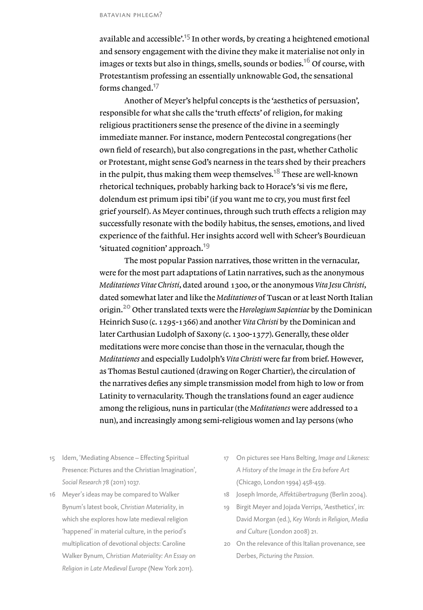available and accessible<sup> $15$ </sup> In other words, by creating a heightened emotional and sensory engagement with the divine they make it materialise not only in images or texts but also in things, smells, sounds or bodies.<sup>16</sup> Of course, with Protestantism professing an essentially unknowable God, the sensational forms changed.<sup>17</sup>

Another of Meyer's helpful concepts is the 'aesthetics of persuasion', responsible for what she calls the 'truth effects' of religion, for making religious practitioners sense the presence of the divine in a seemingly immediate manner. For instance, modern Pentecostal congregations (her own field of research), but also congregations in the past, whether Catholic or Protestant, might sense God's nearness in the tears shed by their preachers in the pulpit, thus making them weep themselves.<sup>18</sup> These are well-known rhetorical techniques, probably harking back to Horace's 'si vis me flere, dolendum est primum ipsi tibi' (if you want me to cry, you must first feel grief yourself). As Meyer continues, through such truth effects a religion may successfully resonate with the bodily habitus, the senses, emotions, and lived experience of the faithful. Her insights accord well with Scheer's Bourdieuan 'situated cognition' approach.<sup>19</sup>

The most popular Passion narratives, those written in the vernacular, were for the most part adaptations of Latin narratives, such as the anonymous *Meditationes Vitae Christi*, dated around 1300, or the anonymous *Vita Jesu Christi*, dated somewhat later and like the *Meditationes* of Tuscan or at least North Italian origin.20 Other translated texts were the *Horologium Sapientiae* by the Dominican Heinrich Suso (c. 1295-1366) and another *Vita Christi* by the Dominican and later Carthusian Ludolph of Saxony (c. 1300-1377). Generally, these older meditations were more concise than those in the vernacular, though the *Meditationes* and especially Ludolph's *Vita Christi* were far from brief. However, as Thomas Bestul cautioned (drawing on Roger Chartier), the circulation of the narratives defies any simple transmission model from high to low or from Latinity to vernacularity. Though the translations found an eager audience among the religious, nuns in particular (the *Meditationes* were addressed to a nun), and increasingly among semi-religious women and lay persons (who

- 15 Idem, 'Mediating Absence Effecting Spiritual Presence: Pictures and the Christian Imagination', *Social Research* 78 (2011) 1037.
- 16 Meyer's ideas may be compared to Walker Bynum's latest book, *Christian Materiality*, in which she explores how late medieval religion 'happened' in material culture, in the period's multiplication of devotional objects: Caroline Walker Bynum, *Christian Materiality: An Essay on Religion in Late Medieval Europe* (New York 2011).
- 17 On pictures see Hans Belting, *Image and Likeness: A History of the Image in the Era before Art* (Chicago, London 1994) 458-459.
- 18 Joseph Imorde, *Affektübertragung* (Berlin 2004).
- 19 Birgit Meyer and Jojada Verrips, 'Aesthetics', in: David Morgan (ed.), *Key Words in Religion, Media and Culture* (London 2008) 21.
- 20 On the relevance of this Italian provenance, see Derbes, *Picturing the Passion*.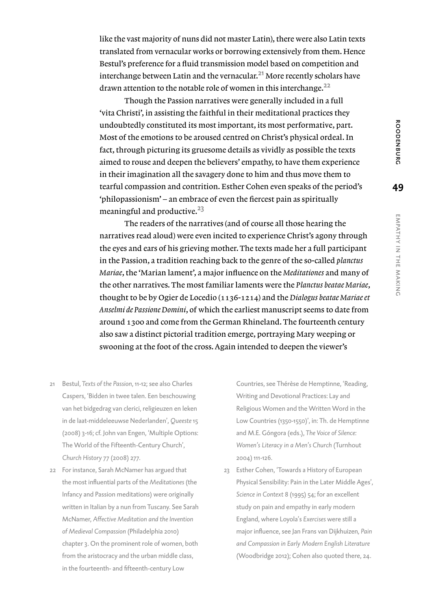like the vast majority of nuns did not master Latin), there were also Latin texts translated from vernacular works or borrowing extensively from them. Hence Bestul's preference for a fluid transmission model based on competition and interchange between Latin and the vernacular. $^{21}$  More recently scholars have drawn attention to the notable role of women in this interchange.<sup>22</sup>

Though the Passion narratives were generally included in a full 'vita Christi', in assisting the faithful in their meditational practices they undoubtedly constituted its most important, its most performative, part. Most of the emotions to be aroused centred on Christ's physical ordeal. In fact, through picturing its gruesome details as vividly as possible the texts aimed to rouse and deepen the believers' empathy, to have them experience in their imagination all the savagery done to him and thus move them to tearful compassion and contrition. Esther Cohen even speaks of the period's 'philopassionism' – an embrace of even the fiercest pain as spiritually meaningful and productive.<sup>23</sup>

The readers of the narratives (and of course all those hearing the narratives read aloud) were even incited to experience Christ's agony through the eyes and ears of his grieving mother. The texts made her a full participant in the Passion, a tradition reaching back to the genre of the so-called *planctus Mariae*, the 'Marian lament', a major influence on the *Meditationes* and many of the other narratives. The most familiar laments were the *Planctus beatae Mariae*, thought to be by Ogier de Locedio (1136-1214) and the *Dialogus beatae Mariae et Anselmi de Passione Domini*, of which the earliest manuscript seems to date from around 1300 and come from the German Rhineland. The fourteenth century also saw a distinct pictorial tradition emerge, portraying Mary weeping or swooning at the foot of the cross. Again intended to deepen the viewer's

- 21 Bestul, *Texts of the Passion*, 11-12; see also Charles Caspers, 'Bidden in twee talen. Een beschouwing van het bidgedrag van clerici, religieuzen en leken in de laat-middeleeuwse Nederlanden', *Queeste* 15 (2008) 3-16; cf. John van Engen, 'Multiple Options: The World of the Fifteenth-Century Church', *Church History* 77 (2008) 277.
- 22 For instance, Sarah McNamer has argued that the most influential parts of the *Meditationes* (the Infancy and Passion meditations) were originally written in Italian by a nun from Tuscany. See Sarah McNamer, *Affective Meditation and the Invention of Medieval Compassion* (Philadelphia 2010) chapter 3. On the prominent role of women, both from the aristocracy and the urban middle class, in the fourteenth- and fifteenth-century Low

Countries, see Thérèse de Hemptinne, 'Reading, Writing and Devotional Practices: Lay and Religious Women and the Written Word in the Low Countries (1350-1550)', in: Th. de Hemptinne and M.E. Góngora (eds.), *The Voice of Silence: Women's Literacy in a Men's Church* (Turnhout 2004) 111-126.

23 Esther Cohen, 'Towards a History of European Physical Sensibility: Pain in the Later Middle Ages', *Science in Context* 8 (1995) 54; for an excellent study on pain and empathy in early modern England, where Loyola's *Exercises* were still a major influence, see Jan Frans van Dijkhuizen*, Pain and Compassion in Early Modern English Literature* (Woodbridge 2012); Cohen also quoted there, 24.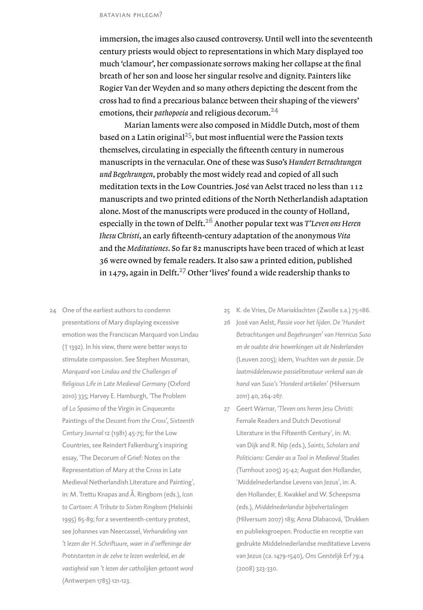immersion, the images also caused controversy. Until well into the seventeenth century priests would object to representations in which Mary displayed too much 'clamour', her compassionate sorrows making her collapse at the final breath of her son and loose her singular resolve and dignity. Painters like Rogier Van der Weyden and so many others depicting the descent from the cross had to find a precarious balance between their shaping of the viewers' emotions, their *pathopoeia* and religious decorum.<sup>24</sup>

Marian laments were also composed in Middle Dutch, most of them based on a Latin original<sup>25</sup>, but most influential were the Passion texts themselves, circulating in especially the fifteenth century in numerous manuscripts in the vernacular. One of these was Suso's *Hundert Betrachtungen und Begehrungen*, probably the most widely read and copied of all such meditation texts in the Low Countries. José van Aelst traced no less than 112 manuscripts and two printed editions of the North Netherlandish adaptation alone. Most of the manuscripts were produced in the county of Holland, especially in the town of Delft.26 Another popular text was *T'Leven ons Heren Ihesu Christi*, an early fifteenth-century adaptation of the anonymous *Vita*  and the *Meditationes*. So far 82 manuscripts have been traced of which at least 36 were owned by female readers. It also saw a printed edition, published in 1479, again in Delft.<sup>27</sup> Other 'lives' found a wide readership thanks to

- 24 One of the earliest authors to condemn presentations of Mary displaying excessive emotion was the Franciscan Marquard von Lindau († 1392). In his view, there were better ways to stimulate compassion. See Stephen Mossman, *Marquard von Lindau and the Challenges of Religious Life in Late Medieval Germany* (Oxford 2010) 335; Harvey E. Hamburgh, 'The Problem of *Lo Spasimo* of the Virgin in *Cinquecento* Paintings of the *Descent from the Cross'*, *Sixteenth Century Journal* 12 (1981) 45-75; for the Low Countries, see Reindert Falkenburg's inspiring essay, 'The Decorum of Grief: Notes on the Representation of Mary at the Cross in Late Medieval Netherlandish Literature and Painting', in: M. Trettu Knapas and Å. Ringbom (eds.), *Icon to Cartoon: A Tribute to Sixten Ringbom* (Helsinki 1995) 65-89; for a seventeenth-century protest, see Johannes van Neercassel, *Verhandeling van 't lezen der H. Schriftuure, waer in d'oeffeninge der Protestanten in de zelve te lezen wederleid, en de vastigheid van 't lezen der catholijken getoont word*  (Antwerpen 1785) 121-123.
- 25 K. de Vries, *De Mariaklachten* (Zwolle s.a.) 75-186.
- 26 José van Aelst, *Passie voor het lijden. De 'Hundert Betrachtungen und Begehrungen' van Henricus Suso en de oudste drie bewerkingen uit de Nederlanden* (Leuven 2005); idem, *Vruchten van de passie. De laatmiddeleeuwse passieliteratuur verkend aan de hand van Suso's 'Honderd artikelen'* (Hilversum 2011) 40, 264-267.
- 27 Geert Warnar, *'Tleven ons heren Jesu Christi*: Female Readers and Dutch Devotional Literature in the Fifteenth Century', in: M. van Dijk and R. Nip (eds.), *Saints, Scholars and Politicians: Gender as a Tool in Medieval Studies* (Turnhout 2005) 25-42; August den Hollander, 'Middelnederlandse Levens van Jezus', in: A. den Hollander, E. Kwakkel and W. Scheepsma (eds.), *Middelnederlandse bijbelvertalingen* (Hilversum 2007) 189; Anna Dlabacová, 'Drukken en publieksgroepen. Productie en receptie van gedrukte Middelnederlandse meditatieve Levens van Jezus (ca. 1479-1540), *Ons Geestelijk Erf* 79:4 (2008) 323-330.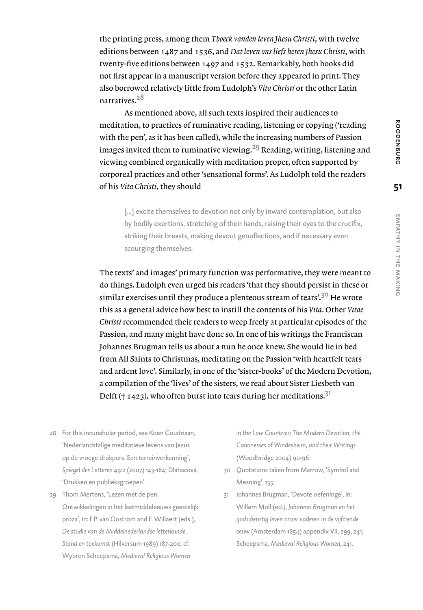the printing press, among them *Tboeck vanden leven Jhesu Christi*, with twelve editions between 1487 and 1536, and *Dat leven ons liefs heren Jhesu Christi*, with twenty-five editions between 1497 and 1532. Remarkably, both books did not first appear in a manuscript version before they appeared in print. They also borrowed relatively little from Ludolph's *Vita Christi* or the other Latin narratives<sup>28</sup>

As mentioned above, all such texts inspired their audiences to meditation, to practices of ruminative reading, listening or copying ('reading with the pen', as it has been called), while the increasing numbers of Passion images invited them to ruminative viewing.<sup>29</sup> Reading, writing, listening and viewing combined organically with meditation proper, often supported by corporeal practices and other 'sensational forms'. As Ludolph told the readers of his *Vita Christi*, they should

[...] excite themselves to devotion not only by inward contemplation, but also by bodily exertions, stretching of their hands, raising their eyes to the crucifix, striking their breasts, making devout genuflections, and if necessary even scourging themselves.

The texts' and images' primary function was performative, they were meant to do things. Ludolph even urged his readers 'that they should persist in these or similar exercises until they produce a plenteous stream of tears'.<sup>30</sup> He wrote this as a general advice how best to instill the contents of his *Vita*. Other *Vitae Christi* recommended their readers to weep freely at particular episodes of the Passion, and many might have done so. In one of his writings the Franciscan Johannes Brugman tells us about a nun he once knew. She would lie in bed from All Saints to Christmas, meditating on the Passion 'with heartfelt tears and ardent love'. Similarly, in one of the 'sister-books' of the Modern Devotion, a compilation of the 'lives' of the sisters, we read about Sister Liesbeth van Delft († 1423), who often burst into tears during her meditations.<sup>31</sup>

- 28 For this incunabular period, see Koen Goudriaan, 'Nederlandstalige meditatieve levens van Jezus op de vroege drukpers. Een terreinverkenning', *Spiegel der Letteren* 49:2 (2007) 143-164; Dlabacová, 'Drukken en publieksgroepen'.
- 29 Thom Mertens, 'Lezen met de pen. Ontwikkelingen in het laatmiddeleeuws geestelijk proza', in: F.P. van Oostrom and F. Willaert (eds.), *De studie van de Middelnederlandse letterkunde. Stand en toekomst* (Hilversum 1989) 187-200; cf. Wybren Scheepsma, *Medieval Religious Women*

*in the Low Countries: The Modern Devotion, the Canonesses of Windesheim, and their Writings* (Woodbridge 2004) 90-96.

- 30 Quotations taken from Marrow, 'Symbol and Meaning', 155.
- 31 Johannes Brugman, 'Devote oefeninge', in: Willem Moll (ed.), *Johannes Brugman en het godsdienstig leven onzer vaderen in de vijftiende eeuw* (Amsterdam 1854) appendix VII, 299, 241; Scheepsma, *Medieval Religious Women*, 241.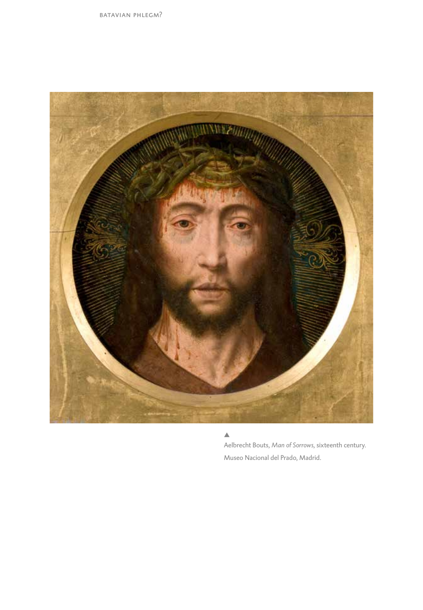

 $\blacktriangle$ 

Aelbrecht Bouts, *Man of Sorrows*, sixteenth century. Museo Nacional del Prado, Madrid.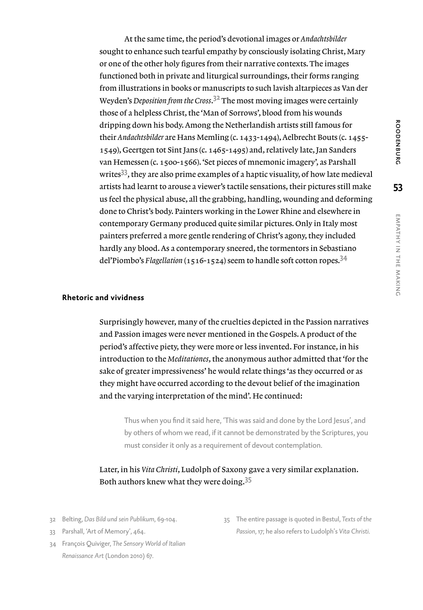At the same time, the period's devotional images or *Andachtsbilder* sought to enhance such tearful empathy by consciously isolating Christ, Mary or one of the other holy figures from their narrative contexts. The images functioned both in private and liturgical surroundings, their forms ranging from illustrations in books or manuscripts to such lavish altarpieces as Van der Weyden's *Deposition from the Cross*. <sup>32</sup> The most moving images were certainly those of a helpless Christ, the 'Man of Sorrows', blood from his wounds dripping down his body. Among the Netherlandish artists still famous for their *Andachtsbilder* are Hans Memling (c. 1433-1494), Aelbrecht Bouts (c. 1455- 1549), Geertgen tot Sint Jans (c. 1465-1495) and, relatively late, Jan Sanders van Hemessen (c. 1500-1566). 'Set pieces of mnemonic imagery', as Parshall writes<sup>33</sup>, they are also prime examples of a haptic visuality, of how late medieval artists had learnt to arouse a viewer's tactile sensations, their pictures still make us feel the physical abuse, all the grabbing, handling, wounding and deforming done to Christ's body. Painters working in the Lower Rhine and elsewhere in contemporary Germany produced quite similar pictures. Only in Italy most painters preferred a more gentle rendering of Christ's agony, they included hardly any blood. As a contemporary sneered, the tormentors in Sebastiano del'Piombo's *Flagellation* (1516-1524) seem to handle soft cotton ropes.<sup>34</sup>

#### **Rhetoric and vividness**

Surprisingly however, many of the cruelties depicted in the Passion narratives and Passion images were never mentioned in the Gospels. A product of the period's affective piety, they were more or less invented. For instance, in his introduction to the *Meditationes*, the anonymous author admitted that 'for the sake of greater impressiveness' he would relate things 'as they occurred or as they might have occurred according to the devout belief of the imagination and the varying interpretation of the mind'. He continued:

Thus when you find it said here, 'This was said and done by the Lord Jesus', and by others of whom we read, if it cannot be demonstrated by the Scriptures, you must consider it only as a requirement of devout contemplation.

### Later, in his *Vita Christi*, Ludolph of Saxony gave a very similar explanation. Both authors knew what they were doing.<sup>35</sup>

- 32 Belting, *Das Bild und sein Publikum*, 69-104.
- 33 Parshall, 'Art of Memory', 464.
- 34 François Quiviger, *The Sensory World of Italian Renaissance Art* (London 2010) 67.
- 35 The entire passage is quoted in Bestul, *Texts of the Passion*, 17; he also refers to Ludolph's *Vita Christi.*

**53**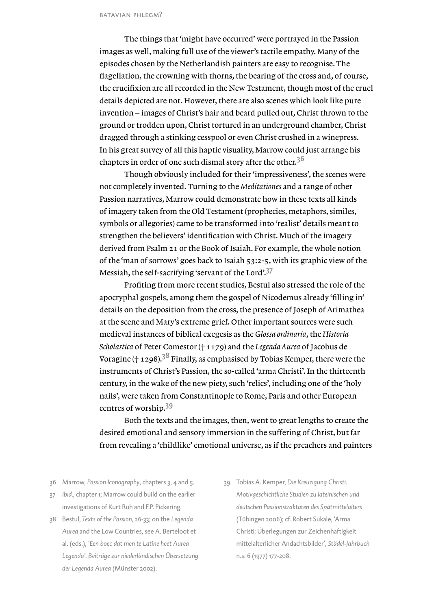The things that 'might have occurred' were portrayed in the Passion images as well, making full use of the viewer's tactile empathy. Many of the episodes chosen by the Netherlandish painters are easy to recognise. The flagellation, the crowning with thorns, the bearing of the cross and, of course, the crucifixion are all recorded in the New Testament, though most of the cruel details depicted are not. However, there are also scenes which look like pure invention – images of Christ's hair and beard pulled out, Christ thrown to the ground or trodden upon, Christ tortured in an underground chamber, Christ dragged through a stinking cesspool or even Christ crushed in a winepress. In his great survey of all this haptic visuality, Marrow could just arrange his chapters in order of one such dismal story after the other.<sup>36</sup>

Though obviously included for their 'impressiveness', the scenes were not completely invented. Turning to the *Meditationes* and a range of other Passion narratives, Marrow could demonstrate how in these texts all kinds of imagery taken from the Old Testament (prophecies, metaphors, similes, symbols or allegories) came to be transformed into 'realist' details meant to strengthen the believers' identification with Christ. Much of the imagery derived from Psalm 21 or the Book of Isaiah. For example, the whole notion of the 'man of sorrows' goes back to Isaiah 53:2-5, with its graphic view of the Messiah, the self-sacrifying 'servant of the Lord'.<sup>37</sup>

Profiting from more recent studies, Bestul also stressed the role of the apocryphal gospels, among them the gospel of Nicodemus already 'filling in' details on the deposition from the cross, the presence of Joseph of Arimathea at the scene and Mary's extreme grief. Other important sources were such medieval instances of biblical exegesis as the *Glossa ordinaria*, the *Historia Scholastica* of Peter Comestor († 1179) and the *Legenda Aurea* of Jacobus de Voragine († 1298).<sup>38</sup> Finally, as emphasised by Tobias Kemper, there were the instruments of Christ's Passion, the so-called 'arma Christi'. In the thirteenth century, in the wake of the new piety, such 'relics', including one of the 'holy nails', were taken from Constantinople to Rome, Paris and other European centres of worship.<sup>39</sup>

Both the texts and the images, then, went to great lengths to create the desired emotional and sensory immersion in the suffering of Christ, but far from revealing a 'childlike' emotional universe, as if the preachers and painters

- 36 Marrow, *Passion Iconography*, chapters 3, 4 and 5.
- 37 *Ibid*., chapter 1; Marrow could build on the earlier investigations of Kurt Ruh and F.P. Pickering.
- 38 Bestul, *Texts of the Passion*, 26-33; on the *Legenda Aurea* and the Low Countries, see A. Berteloot et al. (eds.), *'Een boec dat men te Latine heet Aurea Legenda'. Beiträge zur niederländischen Übersetzung der Legenda Aurea* (Münster 2002).
- 39 Tobias A. Kemper, *Die Kreuzigung Christi. Motivgeschichtliche Studien zu lateinischen und deutschen Passionstraktaten des Spätmittelalters* (Tübingen 2006); cf. Robert Sukale, 'Arma Christi: Überlegungen zur Zeichenhaftigkeit mittelalterlicher Andachtsbilder', *Städel-Jahrbuch* n.s. 6 (1977) 177-208.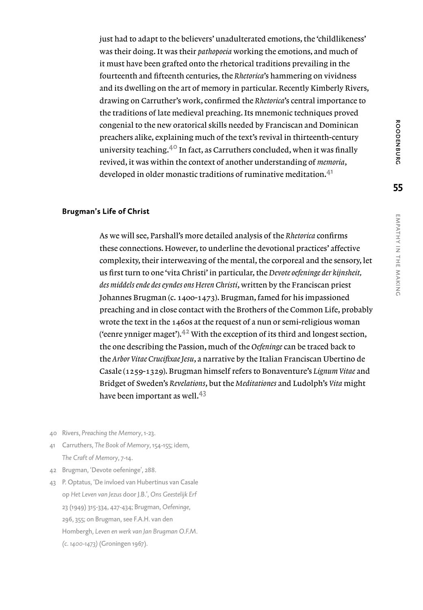just had to adapt to the believers' unadulterated emotions, the 'childlikeness' was their doing. It was their *pathopoeia* working the emotions, and much of it must have been grafted onto the rhetorical traditions prevailing in the fourteenth and fifteenth centuries, the *Rhetorica*'s hammering on vividness and its dwelling on the art of memory in particular. Recently Kimberly Rivers, drawing on Carruther's work, confirmed the *Rhetorica*'s central importance to the traditions of late medieval preaching. Its mnemonic techniques proved congenial to the new oratorical skills needed by Franciscan and Dominican preachers alike, explaining much of the text's revival in thirteenth-century university teaching.<sup>40</sup> In fact, as Carruthers concluded, when it was finally revived, it was within the context of another understanding of *memoria*, developed in older monastic traditions of ruminative meditation.<sup>41</sup>

#### **Brugman's Life of Christ**

As we will see, Parshall's more detailed analysis of the *Rhetorica* confirms these connections. However, to underline the devotional practices' affective complexity, their interweaving of the mental, the corporeal and the sensory, let us first turn to one 'vita Christi' in particular, the *Devote oefeninge der kijnsheit, des middels ende des eyndes ons Heren Christi*, written by the Franciscan priest Johannes Brugman (c. 1400-1473). Brugman, famed for his impassioned preaching and in close contact with the Brothers of the Common Life, probably wrote the text in the 1460s at the request of a nun or semi-religious woman ('eenre ynniger maget'). $42$  With the exception of its third and longest section, the one describing the Passion, much of the *Oefeninge* can be traced back to the *Arbor Vitae Crucifixae Jesu*, a narrative by the Italian Franciscan Ubertino de Casale (1259-1329). Brugman himself refers to Bonaventure's *Lignum Vitae* and Bridget of Sweden's *Revelations*, but the *Meditationes* and Ludolph's *Vita* might have been important as well.<sup>43</sup>

- 40 Rivers, *Preaching the Memory*, 1-23.
- 41 Carruthers, *The Book of Memory*, 154-155; idem, *The Craft of Memory*, 7-14.
- 42 Brugman, 'Devote oefeninge', 288.
- 43 P. Optatus, 'De invloed van Hubertinus van Casale op *Het Leven van Jezus* door J.B.', *Ons Geestelijk Erf* 23 (1949) 315-334, 427-434; Brugman, *Oefeninge*, 296, 355; on Brugman, see F.A.H. van den Hombergh, *Leven en werk van Jan Brugman O.F.M. (c. 1400-1473)* (Groningen 1967).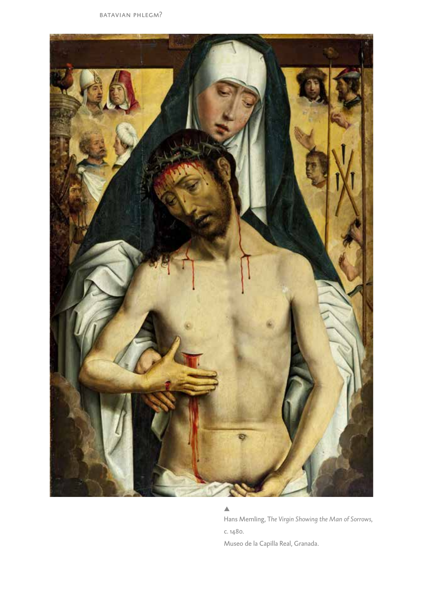

#### $\blacktriangle$

Hans Memling, T*he Virgin Showing the Man of Sorrows*, c. 1480.

Museo de la Capilla Real, Granada.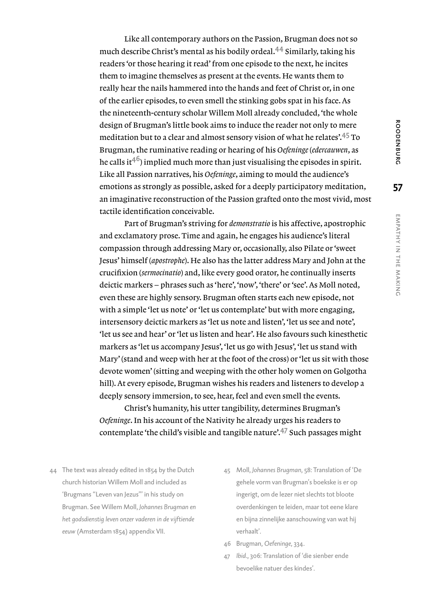Like all contemporary authors on the Passion, Brugman does not so much describe Christ's mental as his bodily ordeal.44 Similarly, taking his readers 'or those hearing it read' from one episode to the next, he incites them to imagine themselves as present at the events. He wants them to really hear the nails hammered into the hands and feet of Christ or, in one of the earlier episodes, to even smell the stinking gobs spat in his face. As the nineteenth-century scholar Willem Moll already concluded, 'the whole design of Brugman's little book aims to induce the reader not only to mere meditation but to a clear and almost sensory vision of what he relates'.45 To Brugman, the ruminative reading or hearing of his *Oefeninge* (*edercauwen*, as he calls it<sup>46</sup>) implied much more than just visualising the episodes in spirit. Like all Passion narratives, his *Oefeninge*, aiming to mould the audience's emotions as strongly as possible, asked for a deeply participatory meditation, an imaginative reconstruction of the Passion grafted onto the most vivid, most tactile identification conceivable.

Part of Brugman's striving for *demonstratio* is his affective, apostrophic and exclamatory prose. Time and again, he engages his audience's literal compassion through addressing Mary or, occasionally, also Pilate or 'sweet Jesus' himself (*apostrophe*). He also has the latter address Mary and John at the crucifixion (*sermocinatio*) and, like every good orator, he continually inserts deictic markers – phrases such as 'here', 'now', 'there' or 'see'. As Moll noted, even these are highly sensory. Brugman often starts each new episode, not with a simple 'let us note' or 'let us contemplate' but with more engaging, intersensory deictic markers as 'let us note and listen', 'let us see and note', 'let us see and hear' or 'let us listen and hear'. He also favours such kinesthetic markers as 'let us accompany Jesus', 'let us go with Jesus', 'let us stand with Mary' (stand and weep with her at the foot of the cross) or 'let us sit with those devote women' (sitting and weeping with the other holy women on Golgotha hill). At every episode, Brugman wishes his readers and listeners to develop a deeply sensory immersion, to see, hear, feel and even smell the events.

Christ's humanity, his utter tangibility, determines Brugman's *Oefeninge*. In his account of the Nativity he already urges his readers to contemplate 'the child's visible and tangible nature'.<sup>47</sup> Such passages might

- 44 The text was already edited in 1854 by the Dutch church historian Willem Moll and included as 'Brugmans "Leven van Jezus"' in his study on Brugman. See Willem Moll, *Johannes Brugman en het godsdienstig leven onzer vaderen in de vijftiende eeuw* (Amsterdam 1854) appendix VII.
- 45 Moll, *Johannes Brugman*, 58: Translation of 'De gehele vorm van Brugman's boekske is er op ingerigt, om de lezer niet slechts tot bloote overdenkingen te leiden, maar tot eene klare en bijna zinnelijke aanschouwing van wat hij verhaalt'.
- 46 Brugman, *Oefeninge*, 334.
- 47 *Ibid*., 306: Translation of 'die sienber ende bevoelike natuer des kindes'.

z the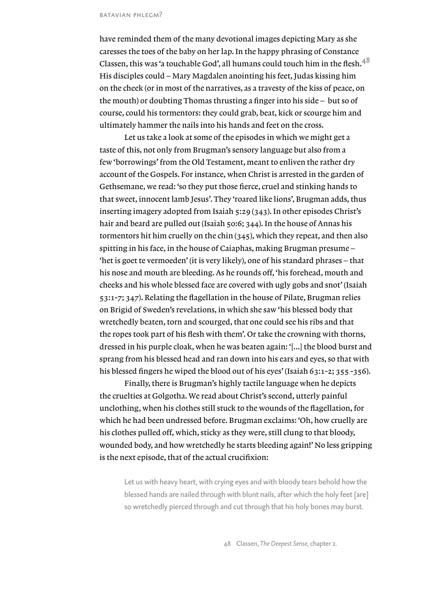#### batavian phlegm?

have reminded them of the many devotional images depicting Mary as she caresses the toes of the baby on her lap. In the happy phrasing of Constance Classen, this was 'a touchable God', all humans could touch him in the flesh.<sup>48</sup> His disciples could – Mary Magdalen anointing his feet, Judas kissing him on the cheek (or in most of the narratives, as a travesty of the kiss of peace, on the mouth) or doubting Thomas thrusting a finger into his side – but so of course, could his tormentors: they could grab, beat, kick or scourge him and ultimately hammer the nails into his hands and feet on the cross.

Let us take a look at some of the episodes in which we might get a taste of this, not only from Brugman's sensory language but also from a few 'borrowings' from the Old Testament, meant to enliven the rather dry account of the Gospels. For instance, when Christ is arrested in the garden of Gethsemane, we read: 'so they put those fierce, cruel and stinking hands to that sweet, innocent lamb Jesus'. They 'roared like lions', Brugman adds, thus inserting imagery adopted from Isaiah 5:29 (343). In other episodes Christ's hair and beard are pulled out (Isaiah 50:6; 344). In the house of Annas his tormentors hit him cruelly on the chin (345), which they repeat, and then also spitting in his face, in the house of Caiaphas, making Brugman presume – 'het is goet te vermoeden' (it is very likely), one of his standard phrases – that his nose and mouth are bleeding. As he rounds off, 'his forehead, mouth and cheeks and his whole blessed face are covered with ugly gobs and snot' (Isaiah 53:1-7; 347). Relating the flagellation in the house of Pilate, Brugman relies on Brigid of Sweden's revelations, in which she saw 'his blessed body that wretchedly beaten, torn and scourged, that one could see his ribs and that the ropes took part of his flesh with them'. Or take the crowning with thorns, dressed in his purple cloak, when he was beaten again: '[...] the blood burst and sprang from his blessed head and ran down into his ears and eyes, so that with his blessed fingers he wiped the blood out of his eyes' (Isaiah 63:1-2; 355 -356).

Finally, there is Brugman's highly tactile language when he depicts the cruelties at Golgotha. We read about Christ's second, utterly painful unclothing, when his clothes still stuck to the wounds of the flagellation, for which he had been undressed before. Brugman exclaims: 'Oh, how cruelly are his clothes pulled off, which, sticky as they were, still clung to that bloody, wounded body, and how wretchedly he starts bleeding again!' No less gripping is the next episode, that of the actual crucifixion:

Let us with heavy heart, with crying eyes and with bloody tears behold how the blessed hands are nailed through with blunt nails, after which the holy feet [are] so wretchedly pierced through and cut through that his holy bones may burst.

48 Classen, *The Deepest Sense*, chapter 2.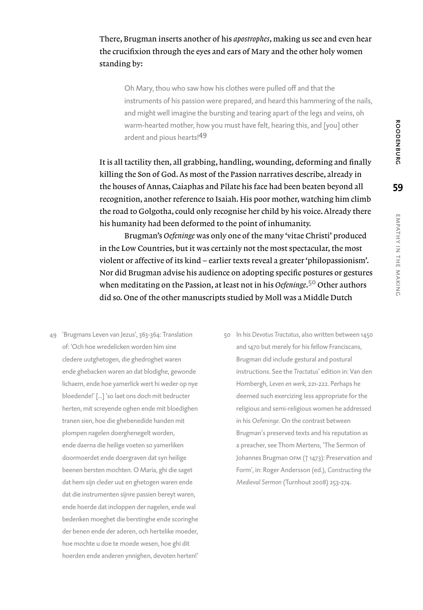## There, Brugman inserts another of his *apostrophes*, making us see and even hear the crucifixion through the eyes and ears of Mary and the other holy women standing by:

Oh Mary, thou who saw how his clothes were pulled off and that the instruments of his passion were prepared, and heard this hammering of the nails, and might well imagine the bursting and tearing apart of the legs and veins, oh warm-hearted mother, how you must have felt, hearing this, and [you] other ardent and pious hearts!<sup>49</sup>

It is all tactility then, all grabbing, handling, wounding, deforming and finally killing the Son of God. As most of the Passion narratives describe, already in the houses of Annas, Caiaphas and Pilate his face had been beaten beyond all recognition, another reference to Isaiah. His poor mother, watching him climb the road to Golgotha, could only recognise her child by his voice. Already there his humanity had been deformed to the point of inhumanity.

Brugman's *Oefeninge* was only one of the many 'vitae Christi' produced in the Low Countries, but it was certainly not the most spectacular, the most violent or affective of its kind – earlier texts reveal a greater 'philopassionism'. Nor did Brugman advise his audience on adopting specific postures or gestures when meditating on the Passion, at least not in his *Oefeninge*. <sup>50</sup> Other authors did so. One of the other manuscripts studied by Moll was a Middle Dutch

- 49 'Brugmans Leven van Jezus', 363-364: Translation of: 'Och hoe wredelicken worden him sine cledere uutghetogen, die ghedroghet waren ende ghebacken waren an dat blodighe, gewonde lichaem, ende hoe yamerlick wert hi weder op nye bloedende!' [...] 'so laet ons doch mit bedructer herten, mit screyende oghen ende mit bloedighen tranen sien, hoe die ghebenedide handen mit plompen nagelen doerghenegelt worden, ende daerna die heilige voeten so yamerliken doormoerdet ende doergraven dat syn heilige beenen bersten mochten. O Maria, ghi die saget dat hem sijn cleder uut en ghetogen waren ende dat die instrumenten sijnre passien bereyt waren, ende hoerde dat incloppen der nagelen, ende wal bedenken moeghet die berstinghe ende scoringhe der benen ende der aderen, och hertelike moeder, hoe mochte u doe te moede wesen, hoe ghi dit hoerden ende anderen ynnighen, devoten herten!'
- 50 In his *Devotus Tractatus*, also written between 1450 and 1470 but merely for his fellow Franciscans, Brugman did include gestural and postural instructions. See the *Tractatus*' edition in: Van den Hombergh, *Leven en werk*, 221-222. Perhaps he deemed such exercizing less appropriate for the religious and semi-religious women he addressed in his *Oefeninge*. On the contrast between Brugman's preserved texts and his reputation as a preacher, see Thom Mertens, 'The Sermon of Johannes Brugman ofm († 1473): Preservation and Form', in: Roger Andersson (ed.), *Constructing the Medieval Sermon* (Turnhout 2008) 253-274.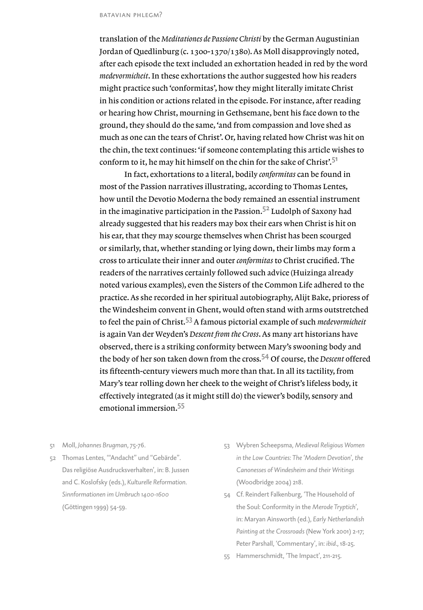translation of the *Meditationes de Passione Christi* by the German Augustinian Jordan of Quedlinburg (c. 1300-1370/1380). As Moll disapprovingly noted, after each episode the text included an exhortation headed in red by the word *medevormicheit*. In these exhortations the author suggested how his readers might practice such 'conformitas', how they might literally imitate Christ in his condition or actions related in the episode. For instance, after reading or hearing how Christ, mourning in Gethsemane, bent his face down to the ground, they should do the same, 'and from compassion and love shed as much as one can the tears of Christ'. Or, having related how Christ was hit on the chin, the text continues: 'if someone contemplating this article wishes to conform to it, he may hit himself on the chin for the sake of Christ'.<sup>51</sup>

In fact, exhortations to a literal, bodily *conformitas* can be found in most of the Passion narratives illustrating, according to Thomas Lentes, how until the Devotio Moderna the body remained an essential instrument in the imaginative participation in the Passion.<sup>52</sup> Ludolph of Saxony had already suggested that his readers may box their ears when Christ is hit on his ear, that they may scourge themselves when Christ has been scourged or similarly, that, whether standing or lying down, their limbs may form a cross to articulate their inner and outer *conformitas* to Christ crucified. The readers of the narratives certainly followed such advice (Huizinga already noted various examples), even the Sisters of the Common Life adhered to the practice. As she recorded in her spiritual autobiography, Alijt Bake, prioress of the Windesheim convent in Ghent, would often stand with arms outstretched to feel the pain of Christ.53 A famous pictorial example of such *medevormicheit* is again Van der Weyden's *Descent from the Cross*. As many art historians have observed, there is a striking conformity between Mary's swooning body and the body of her son taken down from the cross.54 Of course, the *Descent* offered its fifteenth-century viewers much more than that. In all its tactility, from Mary's tear rolling down her cheek to the weight of Christ's lifeless body, it effectively integrated (as it might still do) the viewer's bodily, sensory and emotional immersion.<sup>55</sup>

- 51 Moll, *Johannes Brugman*, 75-76.
- 52 Thomas Lentes, '"Andacht" und "Gebärde". Das religiöse Ausdrucksverhalten', in: B. Jussen and C. Koslofsky (eds.), *Kulturelle Reformation. Sinnformationen im Umbruch 1400-1600* (Göttingen 1999) 54-59.
- 53 Wybren Scheepsma, *Medieval Religious Women in the Low Countries: The 'Modern Devotion*'*, the Canonesses of Windesheim and their Writings* (Woodbridge 2004) 218.
- 54 Cf. Reindert Falkenburg, 'The Household of the Soul: Conformity in the *Merode Tryptich*', in: Maryan Ainsworth (ed.), *Early Netherlandish Painting at the Crossroads* (New York 2001) 2-17; Peter Parshall, 'Commentary', in: *ibid*., 18-25.
- 55 Hammerschmidt, 'The Impact', 211-215.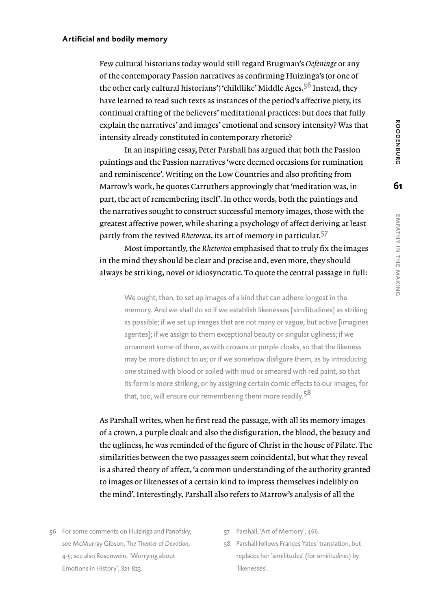z the

#### **Artificial and bodily memory**

Few cultural historians today would still regard Brugman's *Oefeninge* or any of the contemporary Passion narratives as confirming Huizinga's (or one of the other early cultural historians') 'childlike' Middle Ages.<sup>56</sup> Instead, they have learned to read such texts as instances of the period's affective piety, its continual crafting of the believers' meditational practices: but does that fully explain the narratives' and images' emotional and sensory intensity? Was that intensity already constituted in contemporary rhetoric?

In an inspiring essay, Peter Parshall has argued that both the Passion paintings and the Passion narratives 'were deemed occasions for rumination and reminiscence'. Writing on the Low Countries and also profiting from Marrow's work, he quotes Carruthers approvingly that 'meditation was, in part, the act of remembering itself'. In other words, both the paintings and the narratives sought to construct successful memory images, those with the greatest affective power, while sharing a psychology of affect deriving at least partly from the revived *Rhetorica*, its art of memory in particular.<sup>57</sup>

Most importantly, the *Rhetorica* emphasised that to truly fix the images in the mind they should be clear and precise and, even more, they should always be striking, novel or idiosyncratic. To quote the central passage in full:

We ought, then, to set up images of a kind that can adhere longest in the memory. And we shall do so if we establish likenesses [similitudines] as striking as possible; if we set up images that are not many or vague, but active [imagines agentes]; if we assign to them exceptional beauty or singular ugliness; if we ornament some of them, as with crowns or purple cloaks, so that the likeness may be more distinct to us; or if we somehow disfigure them, as by introducing one stained with blood or soiled with mud or smeared with red paint, so that its form is more striking, or by assigning certain comic effects to our images, for that, too, will ensure our remembering them more readily.<sup>58</sup>

As Parshall writes, when he first read the passage, with all its memory images of a crown, a purple cloak and also the disfiguration, the blood, the beauty and the ugliness, he was reminded of the figure of Christ in the house of Pilate. The similarities between the two passages seem coincidental, but what they reveal is a shared theory of affect, 'a common understanding of the authority granted to images or likenesses of a certain kind to impress themselves indelibly on the mind'. Interestingly, Parshall also refers to Marrow's analysis of all the

- 56 For some comments on Huizinga and Panofsky, see McMurray Gibson, *The Theater of Devotion,*  4-5; see also Rosenwein, 'Worrying about Emotions in History', 821-823.
- 57 Parshall, 'Art of Memory', 466.
- 58 Parshall follows Frances Yates' translation, but replaces her 'similitudes' (for *similitudines*) by 'likenesses'.